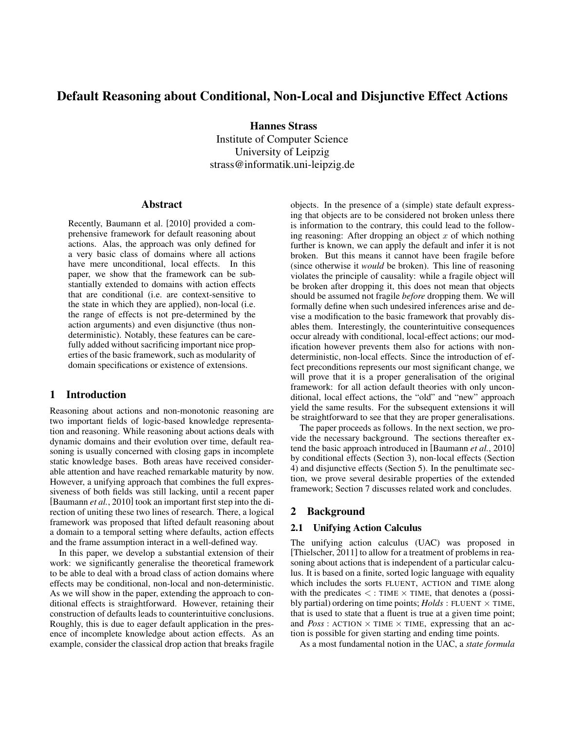# Default Reasoning about Conditional, Non-Local and Disjunctive Effect Actions

Hannes Strass Institute of Computer Science University of Leipzig strass@informatik.uni-leipzig.de

#### Abstract

Recently, Baumann et al. [2010] provided a comprehensive framework for default reasoning about actions. Alas, the approach was only defined for a very basic class of domains where all actions have mere unconditional, local effects. In this paper, we show that the framework can be substantially extended to domains with action effects that are conditional (i.e. are context-sensitive to the state in which they are applied), non-local (i.e. the range of effects is not pre-determined by the action arguments) and even disjunctive (thus nondeterministic). Notably, these features can be carefully added without sacrificing important nice properties of the basic framework, such as modularity of domain specifications or existence of extensions.

## 1 Introduction

Reasoning about actions and non-monotonic reasoning are two important fields of logic-based knowledge representation and reasoning. While reasoning about actions deals with dynamic domains and their evolution over time, default reasoning is usually concerned with closing gaps in incomplete static knowledge bases. Both areas have received considerable attention and have reached remarkable maturity by now. However, a unifying approach that combines the full expressiveness of both fields was still lacking, until a recent paper [Baumann *et al.*, 2010] took an important first step into the direction of uniting these two lines of research. There, a logical framework was proposed that lifted default reasoning about a domain to a temporal setting where defaults, action effects and the frame assumption interact in a well-defined way.

In this paper, we develop a substantial extension of their work: we significantly generalise the theoretical framework to be able to deal with a broad class of action domains where effects may be conditional, non-local and non-deterministic. As we will show in the paper, extending the approach to conditional effects is straightforward. However, retaining their construction of defaults leads to counterintuitive conclusions. Roughly, this is due to eager default application in the presence of incomplete knowledge about action effects. As an example, consider the classical drop action that breaks fragile objects. In the presence of a (simple) state default expressing that objects are to be considered not broken unless there is information to the contrary, this could lead to the following reasoning: After dropping an object  $x$  of which nothing further is known, we can apply the default and infer it is not broken. But this means it cannot have been fragile before (since otherwise it *would* be broken). This line of reasoning violates the principle of causality: while a fragile object will be broken after dropping it, this does not mean that objects should be assumed not fragile *before* dropping them. We will formally define when such undesired inferences arise and devise a modification to the basic framework that provably disables them. Interestingly, the counterintuitive consequences occur already with conditional, local-effect actions; our modification however prevents them also for actions with nondeterministic, non-local effects. Since the introduction of effect preconditions represents our most significant change, we will prove that it is a proper generalisation of the original framework: for all action default theories with only unconditional, local effect actions, the "old" and "new" approach yield the same results. For the subsequent extensions it will be straightforward to see that they are proper generalisations.

The paper proceeds as follows. In the next section, we provide the necessary background. The sections thereafter extend the basic approach introduced in [Baumann *et al.*, 2010] by conditional effects (Section 3), non-local effects (Section 4) and disjunctive effects (Section 5). In the penultimate section, we prove several desirable properties of the extended framework; Section 7 discusses related work and concludes.

# 2 Background

#### 2.1 Unifying Action Calculus

The unifying action calculus (UAC) was proposed in [Thielscher, 2011] to allow for a treatment of problems in reasoning about actions that is independent of a particular calculus. It is based on a finite, sorted logic language with equality which includes the sorts FLUENT, ACTION and TIME along with the predicates  $\lt$ : TIME  $\times$  TIME, that denotes a (possibly partial) ordering on time points;  $Holds: FLUENT \times TIME$ , that is used to state that a fluent is true at a given time point; and  $Poss:$  ACTION  $\times$  TIME  $\times$  TIME, expressing that an action is possible for given starting and ending time points.

As a most fundamental notion in the UAC, a *state formula*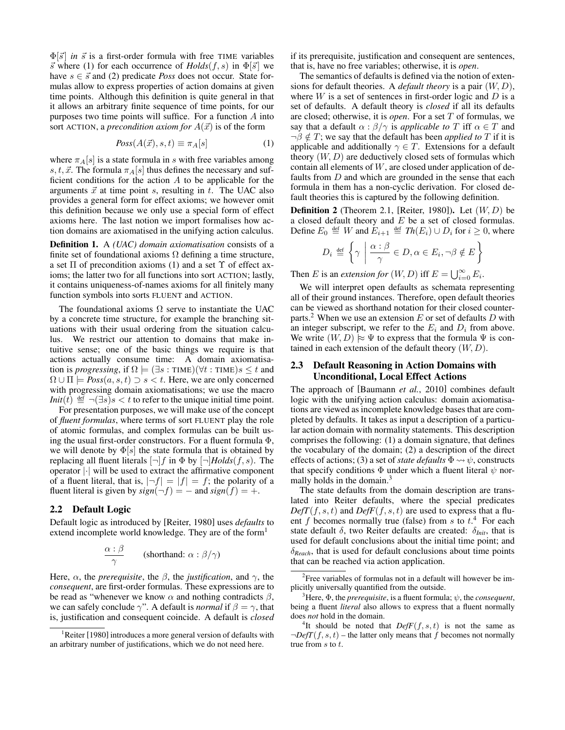$\Phi[\vec{s}]$  *in*  $\vec{s}$  is a first-order formula with free TIME variables  $\vec{s}$  where (1) for each occurrence of  $Holds(f, s)$  in  $\Phi[\vec{s}]$  we have  $s \in \vec{s}$  and (2) predicate *Poss* does not occur. State formulas allow to express properties of action domains at given time points. Although this definition is quite general in that it allows an arbitrary finite sequence of time points, for our purposes two time points will suffice. For a function A into sort ACTION, a *precondition axiom for*  $A(\vec{x})$  is of the form

$$
Poss(A(\vec{x}), s, t) \equiv \pi_A[s] \tag{1}
$$

where  $\pi_A[s]$  is a state formula in s with free variables among s, t,  $\vec{x}$ . The formula  $\pi_A[s]$  thus defines the necessary and sufficient conditions for the action  $A$  to be applicable for the arguments  $\vec{x}$  at time point s, resulting in t. The UAC also provides a general form for effect axioms; we however omit this definition because we only use a special form of effect axioms here. The last notion we import formalises how action domains are axiomatised in the unifying action calculus.

Definition 1. A *(UAC) domain axiomatisation* consists of a finite set of foundational axioms  $\Omega$  defining a time structure, a set  $\Pi$  of precondition axioms (1) and a set  $\Upsilon$  of effect axioms; the latter two for all functions into sort ACTION; lastly, it contains uniqueness-of-names axioms for all finitely many function symbols into sorts FLUENT and ACTION.

The foundational axioms  $\Omega$  serve to instantiate the UAC by a concrete time structure, for example the branching situations with their usual ordering from the situation calculus. We restrict our attention to domains that make intuitive sense; one of the basic things we require is that actions actually consume time: A domain axiomatisation is *progressing*, if  $\Omega \models (\exists s : \text{TIME})(\forall t : \text{TIME})s \leq t$  and  $\Omega \cup \Pi$   $\models$  *Poss* $(a, s, t) \supset s < t$ . Here, we are only concerned with progressing domain axiomatisations; we use the macro *Init*(*t*)  $\stackrel{\text{def}}{=} \neg (\exists s) s < t$  to refer to the unique initial time point.

For presentation purposes, we will make use of the concept of *fluent formulas*, where terms of sort FLUENT play the role of atomic formulas, and complex formulas can be built using the usual first-order constructors. For a fluent formula Φ, we will denote by  $\Phi[s]$  the state formula that is obtained by replacing all fluent literals  $[\neg]f$  in  $\Phi$  by  $[\neg]Holds(f, s)$ . The operator |·| will be used to extract the affirmative component of a fluent literal, that is,  $|\neg f| = |f| = f$ ; the polarity of a fluent literal is given by  $sign(\neg f) = -$  and  $sign(f) = +$ .

#### 2.2 Default Logic

Default logic as introduced by [Reiter, 1980] uses *defaults* to extend incomplete world knowledge. They are of the form<sup>1</sup>

$$
\frac{\alpha : \beta}{\gamma} \qquad \text{(shorthand: } \alpha : \beta/\gamma\text{)}
$$

Here,  $\alpha$ , the *prerequisite*, the  $\beta$ , the *justification*, and  $\gamma$ , the *consequent*, are first-order formulas. These expressions are to be read as "whenever we know  $\alpha$  and nothing contradicts  $\beta$ , we can safely conclude  $\gamma$ ". A default is *normal* if  $\beta = \gamma$ , that is, justification and consequent coincide. A default is *closed* if its prerequisite, justification and consequent are sentences, that is, have no free variables; otherwise, it is *open*.

The semantics of defaults is defined via the notion of extensions for default theories. A *default theory* is a pair (W, D), where  $W$  is a set of sentences in first-order logic and  $D$  is a set of defaults. A default theory is *closed* if all its defaults are closed; otherwise, it is *open*. For a set T of formulas, we say that a default  $\alpha$  :  $\beta/\gamma$  is *applicable to* T iff  $\alpha \in T$  and  $\neg \beta \notin T$ ; we say that the default has been *applied to* T if it is applicable and additionally  $\gamma \in T$ . Extensions for a default theory  $(W, D)$  are deductively closed sets of formulas which contain all elements of  $W$ , are closed under application of defaults from D and which are grounded in the sense that each formula in them has a non-cyclic derivation. For closed default theories this is captured by the following definition.

**Definition 2** (Theorem 2.1, [Reiter, 1980]). Let  $(W, D)$  be a closed default theory and  $E$  be a set of closed formulas. Define  $E_0 \stackrel{\text{def}}{=} W$  and  $E_{i+1} \stackrel{\text{def}}{=} Th(E_i) \cup D_i$  for  $i \geq 0$ , where

$$
D_i \stackrel{\text{def}}{=} \left\{ \gamma \mid \frac{\alpha : \beta}{\gamma} \in D, \alpha \in E_i, \neg \beta \notin E \right\}
$$

Then *E* is an *extension for*  $(W, D)$  iff  $E = \bigcup_{i=0}^{\infty} E_i$ .

We will interpret open defaults as schemata representing all of their ground instances. Therefore, open default theories can be viewed as shorthand notation for their closed counterparts.<sup>2</sup> When we use an extension  $E$  or set of defaults  $D$  with an integer subscript, we refer to the  $E_i$  and  $D_i$  from above. We write  $(W, D) \approx \Psi$  to express that the formula  $\Psi$  is contained in each extension of the default theory  $(W, D)$ .

#### 2.3 Default Reasoning in Action Domains with Unconditional, Local Effect Actions

The approach of [Baumann *et al.*, 2010] combines default logic with the unifying action calculus: domain axiomatisations are viewed as incomplete knowledge bases that are completed by defaults. It takes as input a description of a particular action domain with normality statements. This description comprises the following: (1) a domain signature, that defines the vocabulary of the domain; (2) a description of the direct effects of actions; (3) a set of *state defaults*  $\Phi \rightsquigarrow \psi$ , constructs that specify conditions  $\Phi$  under which a fluent literal  $\psi$  normally holds in the domain.<sup>3</sup>

The state defaults from the domain description are translated into Reiter defaults, where the special predicates  $DefT(f, s, t)$  and  $DefF(f, s, t)$  are used to express that a fluent  $f$  becomes normally true (false) from  $s$  to  $t<sup>4</sup>$ . For each state default  $\delta$ , two Reiter defaults are created:  $\delta_{Init}$ , that is used for default conclusions about the initial time point; and δ*Reach*, that is used for default conclusions about time points that can be reached via action application.

<sup>1</sup>Reiter [1980] introduces a more general version of defaults with an arbitrary number of justifications, which we do not need here.

<sup>&</sup>lt;sup>2</sup> Free variables of formulas not in a default will however be implicitly universally quantified from the outside.

<sup>&</sup>lt;sup>3</sup>Here,  $\Phi$ , the *prerequisite*, is a fluent formula;  $\psi$ , the *consequent*, being a fluent *literal* also allows to express that a fluent normally does *not* hold in the domain.

<sup>&</sup>lt;sup>4</sup>It should be noted that  $DefF(f, s, t)$  is not the same as  $\neg DefT(f, s, t)$  – the latter only means that f becomes not normally true from s to t.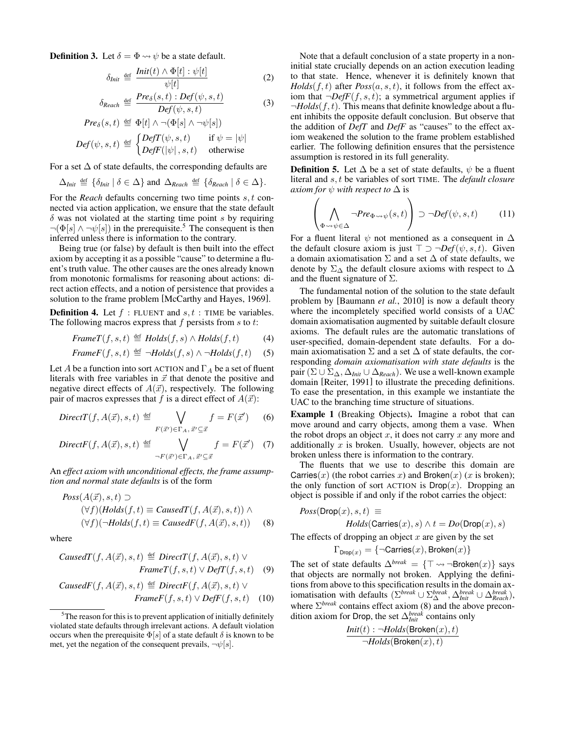**Definition 3.** Let  $\delta = \Phi \rightsquigarrow \psi$  be a state default.

$$
\delta_{Init} \stackrel{\text{def}}{=} \frac{Init(t) \wedge \Phi[t] : \psi[t]}{\psi[t]}
$$
 (2)

$$
\delta_{Reach} \stackrel{\text{def}}{=} \frac{Pre_{\delta}(s,t) : Def(\psi, s, t)}{Def(\psi, s, t)}
$$
(3)

$$
Pre_{\delta}(s,t) \stackrel{\text{def}}{=} \Phi[t] \land \neg(\Phi[s] \land \neg \psi[s])
$$
  

$$
Def(\psi,s,t) \stackrel{\text{def}}{=} \begin{cases} DefT(\psi,s,t) & \text{if } \psi = |\psi| \\ DefF(|\psi|,s,t) & \text{otherwise} \end{cases}
$$

For a set  $\Delta$  of state defaults, the corresponding defaults are

$$
\Delta_{Init} \stackrel{\text{def}}{=} \{\delta_{Init} \mid \delta \in \Delta\} \text{ and } \Delta_{Reach} \stackrel{\text{def}}{=} \{\delta_{Reach} \mid \delta \in \Delta\}.
$$

For the *Reach* defaults concerning two time points s, t connected via action application, we ensure that the state default  $\delta$  was not violated at the starting time point s by requiring  $\neg(\Phi[s] \land \neg \psi[s])$  in the prerequisite.<sup>5</sup> The consequent is then inferred unless there is information to the contrary.

Being true (or false) by default is then built into the effect axiom by accepting it as a possible "cause" to determine a fluent's truth value. The other causes are the ones already known from monotonic formalisms for reasoning about actions: direct action effects, and a notion of persistence that provides a solution to the frame problem [McCarthy and Hayes, 1969].

**Definition 4.** Let  $f$ : FLUENT and  $s, t$ : TIME be variables. The following macros express that  $f$  persists from  $s$  to  $t$ :

$$
FrameT(f, s, t) \stackrel{\text{def}}{=} \text{Holds}(f, s) \land \text{Holds}(f, t) \tag{4}
$$

$$
FrameF(f, s, t) \stackrel{\text{def}}{=} \neg Holds(f, s) \land \neg Holds(f, t) \quad (5)
$$

Let A be a function into sort ACTION and  $\Gamma_A$  be a set of fluent literals with free variables in  $\vec{x}$  that denote the positive and negative direct effects of  $A(\vec{x})$ , respectively. The following pair of macros expresses that f is a direct effect of  $A(\vec{x})$ :

$$
DirectT(f, A(\vec{x}), s, t) \stackrel{\text{def}}{=} \bigvee_{F(\vec{x}') \in \Gamma_A, \vec{x}' \subseteq \vec{x}} f = F(\vec{x}') \tag{6}
$$

$$
DirectF(f, A(\vec{x}), s, t) \stackrel{\text{def}}{=} \bigvee_{\neg F(\vec{x}') \in \Gamma_A, \vec{x}' \subseteq \vec{x}} f = F(\vec{x}') \quad (7)
$$

An *effect axiom with unconditional effects, the frame assumption and normal state defaults* is of the form

$$
Poss(A(\vec{x}), s, t) \supset
$$
  
\n
$$
(\forall f)(Holds(f, t) \equiv CausedT(f, A(\vec{x}), s, t)) \wedge
$$
  
\n
$$
(\forall f)(\neg Holds(f, t) \equiv CausedF(f, A(\vec{x}), s, t))
$$
 (8)

where

*CausedT*(
$$
f, A(\vec{x}), s, t
$$
)  $\stackrel{\text{def}}{=} \text{Direct}T(f, A(\vec{x}), s, t) \vee$   
*FrameT*( $f, s, t$ )  $\vee \text{DefT}(f, s, t)$  (9)

$$
CausedF(f, A(\vec{x}), s, t) \stackrel{\text{def}}{=} DirectF(f, A(\vec{x}), s, t) \vee
$$

$$
FrameF(f, s, t) \vee DefF(f, s, t) \quad (10)
$$

Note that a default conclusion of a state property in a noninitial state crucially depends on an action execution leading to that state. Hence, whenever it is definitely known that  $Holds(f, t)$  after  $Poss(a, s, t)$ , it follows from the effect axiom that  $\neg DefF(f, s, t)$ ; a symmetrical argument applies if  $\neg Holds(f, t)$ . This means that definite knowledge about a fluent inhibits the opposite default conclusion. But observe that the addition of *DefT* and *DefF* as "causes" to the effect axiom weakened the solution to the frame problem established earlier. The following definition ensures that the persistence assumption is restored in its full generality.

**Definition 5.** Let  $\Delta$  be a set of state defaults,  $\psi$  be a fluent literal and s, t be variables of sort TIME. The *default closure axiom for*  $\psi$  *with respect to*  $\Delta$  is

$$
\left(\bigwedge_{\Phi \leadsto \psi \in \Delta} \neg Pre_{\Phi \leadsto \psi}(s,t)\right) \supset \neg Def(\psi,s,t) \tag{11}
$$

For a fluent literal  $\psi$  not mentioned as a consequent in  $\Delta$ the default closure axiom is just  $\top \supset \neg Def(\psi, s, t)$ . Given a domain axiomatisation  $\Sigma$  and a set  $\Delta$  of state defaults, we denote by  $\Sigma_{\Delta}$  the default closure axioms with respect to  $\Delta$ and the fluent signature of  $\Sigma$ .

The fundamental notion of the solution to the state default problem by [Baumann *et al.*, 2010] is now a default theory where the incompletely specified world consists of a UAC domain axiomatisation augmented by suitable default closure axioms. The default rules are the automatic translations of user-specified, domain-dependent state defaults. For a domain axiomatisation  $\Sigma$  and a set  $\Delta$  of state defaults, the corresponding *domain axiomatisation with state defaults* is the pair ( $\Sigma \cup \Sigma_{\Delta}$ ,  $\Delta_{Init} \cup \Delta_{Reach}$ ). We use a well-known example domain [Reiter, 1991] to illustrate the preceding definitions. To ease the presentation, in this example we instantiate the UAC to the branching time structure of situations.

Example 1 (Breaking Objects). Imagine a robot that can move around and carry objects, among them a vase. When the robot drops an object  $x$ , it does not carry  $x$  any more and additionally  $x$  is broken. Usually, however, objects are not broken unless there is information to the contrary.

The fluents that we use to describe this domain are Carries(x) (the robot carries x) and Broken(x) (x is broken); the only function of sort ACTION is  $\mathsf{Drop}(x)$ . Dropping an object is possible if and only if the robot carries the object:

$$
Poss(\text{Drop}(x), s, t) \equiv
$$
  

$$
Holds(\text{Carries}(x), s) \land t = Do(\text{Drop}(x), s)
$$

The effects of dropping an object  $x$  are given by the set

$$
\Gamma_{\mathsf{Drop}(x)} = \{\neg \mathsf{Carries}(x), \mathsf{Broken}(x)\}
$$

The set of state defaults  $\Delta^{break} = {\{\top \leadsto \neg {\sf Broken}(x)\}}$  says that objects are normally not broken. Applying the definitions from above to this specification results in the domain axiomatisation with defaults  $(\sum^{break} \cup \sum^{break}_{\Delta} , \Delta^{break}_{Init} \cup \Delta^{break}_{Reach}),$ where  $\Sigma^{break}$  contains effect axiom (8) and the above precondition axiom for Drop, the set ∆*break Init* contains only

$$
\frac{\textit{Init}(t): \neg \textit{Holds}(\textsf{Broken}(x), t)}{\neg \textit{Holds}(\textsf{Broken}(x), t)}
$$

<sup>&</sup>lt;sup>5</sup>The reason for this is to prevent application of initially definitely violated state defaults through irrelevant actions. A default violation occurs when the prerequisite  $\Phi[s]$  of a state default  $\delta$  is known to be met, yet the negation of the consequent prevails,  $\neg \psi[s]$ .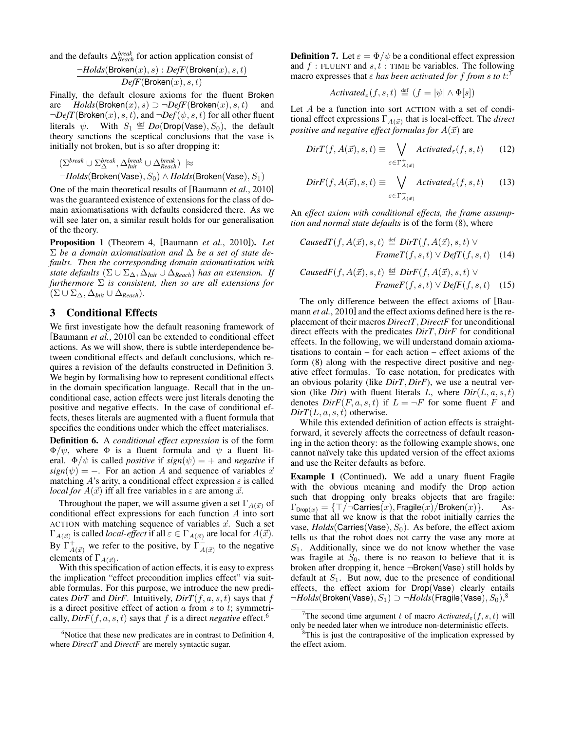and the defaults ∆*break Reach* for action application consist of

$$
\frac{\neg Holds(\text{Broken}(x),s):DefF(\text{Broken}(x),s,t)}{DefF(\text{Broken}(x),s,t)}
$$

Finally, the default closure axioms for the fluent Broken are  $Holds(Broken(x), s) \supset \neg DefF(Broken(x), s, t)$  and  $\neg DefT(\mathsf{Broken}(x), s, t)$ , and  $\neg Def(\psi, s, t)$  for all other fluent literals  $\psi$ . With  $S_1 \stackrel{\text{def}}{=} Do(Drop(Vase), S_0)$ , the default theory sanctions the sceptical conclusions that the vase is initially not broken, but is so after dropping it:

 $(\Sigma^{break} \cup \Sigma^{break}_{\Delta}, \Delta^{break}_{Init} \cup \Delta^{break}_{Reach}) \approx$ ¬*Holds*(Broken(Vase), S0) ∧ *Holds*(Broken(Vase), S1)

One of the main theoretical results of [Baumann *et al.*, 2010] was the guaranteed existence of extensions for the class of domain axiomatisations with defaults considered there. As we will see later on, a similar result holds for our generalisation of the theory.

Proposition 1 (Theorem 4, [Baumann *et al.*, 2010]). *Let* Σ *be a domain axiomatisation and* ∆ *be a set of state defaults. Then the corresponding domain axiomatisation with state defaults*  $(\Sigma \cup \Sigma_{\Delta}, \Delta_{Init} \cup \Delta_{Reach})$  *has an extension. If furthermore* Σ *is consistent, then so are all extensions for* (Σ ∪ Σ∆, ∆*Init* ∪ ∆*Reach*)*.*

## 3 Conditional Effects

We first investigate how the default reasoning framework of [Baumann *et al.*, 2010] can be extended to conditional effect actions. As we will show, there is subtle interdependence between conditional effects and default conclusions, which requires a revision of the defaults constructed in Definition 3. We begin by formalising how to represent conditional effects in the domain specification language. Recall that in the unconditional case, action effects were just literals denoting the positive and negative effects. In the case of conditional effects, theses literals are augmented with a fluent formula that specifies the conditions under which the effect materialises.

Definition 6. A *conditional effect expression* is of the form  $\Phi/\psi$ , where  $\Phi$  is a fluent formula and  $\psi$  a fluent literal.  $\Phi/\psi$  is called *positive* if  $sign(\psi) = +$  and *negative* if  $sign(\psi) = -$ . For an action A and sequence of variables  $\vec{x}$ matching A's arity, a conditional effect expression  $\varepsilon$  is called *local for*  $A(\vec{x})$  iff all free variables in  $\varepsilon$  are among  $\vec{x}$ .

Throughout the paper, we will assume given a set  $\Gamma_{A(\vec{x})}$  of conditional effect expressions for each function A into sort ACTION with matching sequence of variables  $\vec{x}$ . Such a set  $\Gamma_{A(\vec{x})}$  is called *local-effect* if all  $\varepsilon \in \Gamma_{A(\vec{x})}$  are local for  $A(\vec{x})$ . By  $\Gamma^+_{A(\vec{x})}$  we refer to the positive, by  $\Gamma^-_{A(\vec{x})}$  to the negative elements of  $\Gamma_{A(\vec{x})}$ .

With this specification of action effects, it is easy to express the implication "effect precondition implies effect" via suitable formulas. For this purpose, we introduce the new predicates *DirT* and *DirF*. Intuitively, *DirT*( $f, a, s, t$ ) says that  $f$ is a direct positive effect of action  $a$  from  $s$  to  $t$ ; symmetrically,  $Dir F(f, a, s, t)$  says that f is a direct *negative* effect.<sup>6</sup>

**Definition 7.** Let  $\varepsilon = \Phi/\psi$  be a conditional effect expression and  $f$ : FLUENT and  $s, t$ : TIME be variables. The following macro expresses that  $\varepsilon$  *has been activated for f from s to*  $t:$ <sup>7</sup>

$$
Activated_{\varepsilon}(f, s, t) \stackrel{\text{def}}{=} (f = |\psi| \land \Phi[s])
$$

Let A be a function into sort ACTION with a set of conditional effect expressions  $\Gamma_{A(\vec{x})}$  that is local-effect. The *direct positive and negative effect formulas for*  $A(\vec{x})$  are

$$
DirT(f, A(\vec{x}), s, t) \equiv \bigvee_{\varepsilon \in \Gamma_{A(\vec{x})}^{+}} Activated_{\varepsilon}(f, s, t) \qquad (12)
$$

$$
DirF(f, A(\vec{x}), s, t) \equiv \bigvee_{\varepsilon \in \Gamma_{A(\vec{x})}^-} \text{Activated}_{\varepsilon}(f, s, t) \tag{13}
$$

An *effect axiom with conditional effects, the frame assumption and normal state defaults* is of the form (8), where

*CausedT*(
$$
f, A(\vec{x}), s, t
$$
)  $\stackrel{\text{def}}{=} DirT(f, A(\vec{x}), s, t) \vee$   
*FrameT*( $f, s, t$ )  $\vee$  *DefT*( $f, s, t$ ) (14)

*CausedF*(
$$
f, A(\vec{x}), s, t
$$
)  $\stackrel{\text{def}}{=} Dir F(f, A(\vec{x}), s, t) \vee$   
*FrameF*( $f, s, t$ )  $\vee$  *DefF*( $f, s, t$ ) (15)

The only difference between the effect axioms of [Baumann *et al.*, 2010] and the effect axioms defined here is the replacement of their macros *DirectT*, *DirectF* for unconditional direct effects with the predicates *DirT*, *DirF* for conditional effects. In the following, we will understand domain axiomatisations to contain – for each action – effect axioms of the form (8) along with the respective direct positive and negative effect formulas. To ease notation, for predicates with an obvious polarity (like *DirT*, *DirF*), we use a neutral version (like *Dir*) with fluent literals L, where  $Dir(L, a, s, t)$ denotes  $DirF(F, a, s, t)$  if  $L = \neg F$  for some fluent F and  $Dir T(L, a, s, t)$  otherwise.

While this extended definition of action effects is straightforward, it severely affects the correctness of default reasoning in the action theory: as the following example shows, one cannot naïvely take this updated version of the effect axioms and use the Reiter defaults as before.

Example 1 (Continued). We add a unary fluent Fragile with the obvious meaning and modify the Drop action such that dropping only breaks objects that are fragile:  $\Gamma_{\text{Drop}(x)} = {\top/\neg \text{Carries}(x), \text{Fragile}(x)/\text{Broken}(x)}.$  Assume that all we know is that the robot initially carries the vase,  $Holds(Carries(Vase), S<sub>0</sub>)$ . As before, the effect axiom tells us that the robot does not carry the vase any more at  $S_1$ . Additionally, since we do not know whether the vase was fragile at  $S_0$ , there is no reason to believe that it is broken after dropping it, hence ¬Broken(Vase) still holds by default at  $S_1$ . But now, due to the presence of conditional effects, the effect axiom for Drop(Vase) clearly entails  $\neg Holds(\textsf{Broken}(\textsf{Vase}), S_1) \supset \neg Holds(\textsf{Fragile}(\textsf{Vase}), S_0)^{\$}$ 

 $6$ Notice that these new predicates are in contrast to Definition 4, where *DirectT* and *DirectF* are merely syntactic sugar.

<sup>&</sup>lt;sup>7</sup>The second time argument t of macro  $\text{Active}_{\epsilon}(f, s, t)$  will only be needed later when we introduce non-deterministic effects.

<sup>&</sup>lt;sup>8</sup>This is just the contrapositive of the implication expressed by the effect axiom.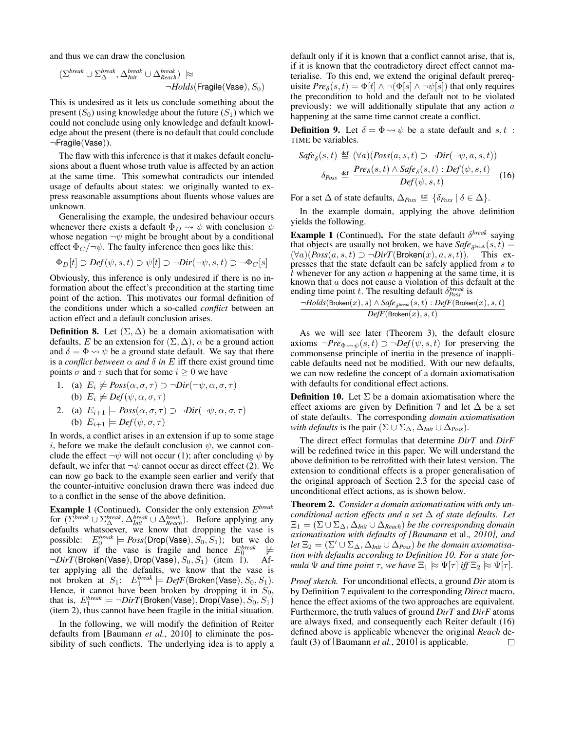and thus we can draw the conclusion

$$
(\Sigma^{break} \cup \Sigma^{break}_{\Delta}, \Delta^{break}_{Init} \cup \Delta^{break}_{Reach}) \approx \neg \text{Holds}(\text{Fragile}(\text{Vase}), S_0)
$$

This is undesired as it lets us conclude something about the present  $(S_0)$  using knowledge about the future  $(S_1)$  which we could not conclude using only knowledge and default knowledge about the present (there is no default that could conclude ¬Fragile(Vase)).

The flaw with this inference is that it makes default conclusions about a fluent whose truth value is affected by an action at the same time. This somewhat contradicts our intended usage of defaults about states: we originally wanted to express reasonable assumptions about fluents whose values are unknown.

Generalising the example, the undesired behaviour occurs whenever there exists a default  $\Phi_D \leadsto \psi$  with conclusion  $\psi$ whose negation  $\neg \psi$  might be brought about by a conditional effect  $\Phi_C/\neg \psi$ . The faulty inference then goes like this:

$$
\Phi_D[t] \supset Def(\psi, s, t) \supset \psi[t] \supset \neg Dir(\neg \psi, s, t) \supset \neg \Phi_C[s]
$$

Obviously, this inference is only undesired if there is no information about the effect's precondition at the starting time point of the action. This motivates our formal definition of the conditions under which a so-called *conflict* between an action effect and a default conclusion arises.

**Definition 8.** Let  $(\Sigma, \Delta)$  be a domain axiomatisation with defaults, E be an extension for  $(\Sigma, \Delta)$ ,  $\alpha$  be a ground action and  $\delta = \Phi \leadsto \psi$  be a ground state default. We say that there is a *conflict between*  $\alpha$  *and*  $\delta$  *in*  $E$  iff there exist ground time points  $\sigma$  and  $\tau$  such that for some  $i > 0$  we have

- 1. (a)  $E_i \not\models \text{Poss}(\alpha, \sigma, \tau) \supset \neg \text{Dir}(\neg \psi, \alpha, \sigma, \tau)$ (b)  $E_i \not\models Def(\psi, \alpha, \sigma, \tau)$
- 2. (a)  $E_{i+1} \models Poss(\alpha, \sigma, \tau) \supset \neg Dir(\neg \psi, \alpha, \sigma, \tau)$ (b)  $E_{i+1} \models Def(\psi, \sigma, \tau)$

In words, a conflict arises in an extension if up to some stage i, before we make the default conclusion  $\psi$ , we cannot conclude the effect  $\neg \psi$  will not occur (1); after concluding  $\psi$  by default, we infer that  $\neg \psi$  cannot occur as direct effect (2). We can now go back to the example seen earlier and verify that the counter-intuitive conclusion drawn there was indeed due to a conflict in the sense of the above definition.

Example 1 (Continued). Consider the only extension E*break* for  $(\sum^{break} \cup \sum^{break}_{\Delta}, \Delta^{break}_{Init} \cup \Delta^{break}_{Reach})$ . Before applying any defaults whatsoever, we know that dropping the vase is possible:  $E_0^{break} \models Poss(\text{Drop}(\text{Vase}), S_0, S_1)$ ; but we do not know if the vase is fragile and hence  $E_0^{break} \not\models$  $\neg Dir T(\text{Broken}(\text{Vase}), \text{Drop}(\text{Vase}), S_0, S_1)$  (item 1). After applying all the defaults, we know that the vase is not broken at  $S_1$ :  $E_1^{break} \models DefF(\text{Broken}(\text{Vase}), S_0, S_1)$ . Hence, it cannot have been broken by dropping it in  $S_0$ , that is,  $E_1^{break} \models \neg DirT(\textsf{Broken}(\textsf{Vase}), \textsf{Drop}(\textsf{Vase}), S_0, S_1)$ (item 2), thus cannot have been fragile in the initial situation.

In the following, we will modify the definition of Reiter defaults from [Baumann *et al.*, 2010] to eliminate the possibility of such conflicts. The underlying idea is to apply a default only if it is known that a conflict cannot arise, that is, if it is known that the contradictory direct effect cannot materialise. To this end, we extend the original default prerequisite  $Pre_{\delta}(s, t) = \Phi[t] \wedge \neg(\Phi[s] \wedge \neg \psi[s])$  that only requires the precondition to hold and the default not to be violated previously: we will additionally stipulate that any action  $a$ happening at the same time cannot create a conflict.

**Definition 9.** Let  $\delta = \Phi \rightsquigarrow \psi$  be a state default and s, t: TIME be variables.

$$
Safe_{\delta}(s,t) \stackrel{\text{def}}{=} (\forall a)(Poss(a,s,t) \supset \neg Dir(\neg \psi, a, s, t))
$$

$$
\delta_{Poss} \stackrel{\text{def}}{=} \frac{Pre_{\delta}(s,t) \wedge Safe_{\delta}(s,t) : Def(\psi, s, t)}{Def(\psi, s, t)} \quad (16)
$$

For a set  $\Delta$  of state defaults,  $\Delta_{Poss} \triangleq {\delta_{Poss}} \mid \delta \in \Delta$ .

In the example domain, applying the above definition yields the following.

**Example 1** (Continued). For the state default  $\delta^{break}$  saying that objects are usually not broken, we have  $\textit{Safe}_{\delta^{\textit{break}}}(s, t) =$  $(\forall a)(Poss(a, s, t) \supset \neg Dir T(\text{Broken}(x), a, s, t)).$  This expresses that the state default can be safely applied from s to  $\hat{t}$  whenever for any action a happening at the same time, it is known that  $a$  does not cause a violation of this default at the ending time point t. The resulting default  $\delta_{Poss}^{break}$  is

$$
\frac{\neg Holds(\text{Broken}(x),s) \land \textit{Safe}_{\textit{8break}}(s,t): \textit{DefF}(\text{Broken}(x),s,t)}{\textit{DefF}(\text{Broken}(x),s,t)}
$$

As we will see later (Theorem 3), the default closure axioms  $\neg Pre_{\Phi \leadsto \psi}(s, t) \supset \neg Def(\psi, s, t)$  for preserving the commonsense principle of inertia in the presence of inapplicable defaults need not be modified. With our new defaults, we can now redefine the concept of a domain axiomatisation with defaults for conditional effect actions.

**Definition 10.** Let  $\Sigma$  be a domain axiomatisation where the effect axioms are given by Definition 7 and let  $\Delta$  be a set of state defaults. The corresponding *domain axiomatisation with defaults* is the pair  $(\Sigma \cup \Sigma_{\Delta}, \Delta_{Init} \cup \Delta_{Poss})$ .

The direct effect formulas that determine *DirT* and *DirF* will be redefined twice in this paper. We will understand the above definition to be retrofitted with their latest version. The extension to conditional effects is a proper generalisation of the original approach of Section 2.3 for the special case of unconditional effect actions, as is shown below.

Theorem 2. *Consider a domain axiomatisation with only unconditional action effects and a set* ∆ *of state defaults. Let*  $\Xi_1 = (\Sigma \cup \Sigma_{\Delta}, \Delta_{Init} \cup \Delta_{Reach})$  *be the corresponding domain axiomatisation with defaults of [Baumann* et al.*, 2010], and let*  $\Xi_2 = (\Sigma' \cup \Sigma_\Delta, \Delta_{Init} \cup \Delta_{Poss})$  *be the domain axiomatisation with defaults according to Definition 10. For a state formula*  $\Psi$  *and time point*  $\tau$ *, we have*  $\Xi_1 \approx \Psi[\tau]$  *iff*  $\Xi_2 \approx \Psi[\tau]$ *.* 

*Proof sketch.* For unconditional effects, a ground *Dir* atom is by Definition 7 equivalent to the corresponding *Direct* macro, hence the effect axioms of the two approaches are equivalent. Furthermore, the truth values of ground *DirT* and *DirF* atoms are always fixed, and consequently each Reiter default (16) defined above is applicable whenever the original *Reach* default (3) of [Baumann *et al.*, 2010] is applicable. $\Box$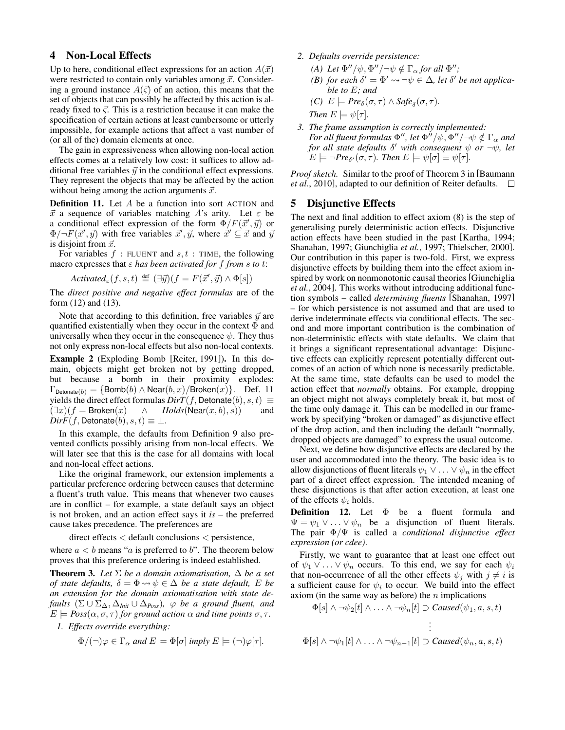# 4 Non-Local Effects

Up to here, conditional effect expressions for an action  $A(\vec{x})$ were restricted to contain only variables among  $\vec{x}$ . Considering a ground instance  $A(\vec{\zeta})$  of an action, this means that the set of objects that can possibly be affected by this action is already fixed to  $\vec{\zeta}$ . This is a restriction because it can make the specification of certain actions at least cumbersome or utterly impossible, for example actions that affect a vast number of (or all of the) domain elements at once.

The gain in expressiveness when allowing non-local action effects comes at a relatively low cost: it suffices to allow additional free variables  $\vec{y}$  in the conditional effect expressions. They represent the objects that may be affected by the action without being among the action arguments  $\vec{x}$ .

**Definition 11.** Let  $A$  be a function into sort  $ACTION$  and  $\vec{x}$  a sequence of variables matching A's arity. Let  $\varepsilon$  be a conditional effect expression of the form  $\overline{\Phi}/F(\vec{x}', \vec{y})$  or  $\Phi/\neg F(\vec{x}', \vec{y})$  with free variables  $\vec{x}', \vec{y}$ , where  $\dot{\vec{x}}' \subseteq \vec{x}$  and  $\vec{y}$ is disjoint from  $\vec{x}$ .

For variables  $f$ : FLUENT and  $s, t$ : TIME, the following macro expresses that  $\varepsilon$  *has been activated for*  $f$  *from s to t:* 

$$
\textit{Activated}_{\varepsilon}(f, s, t) \triangleq (\exists \vec{y})(f = F(\vec{x}', \vec{y}) \land \Phi[s])
$$

The *direct positive and negative effect formulas* are of the form (12) and (13).

Note that according to this definition, free variables  $\vec{y}$  are quantified existentially when they occur in the context  $\Phi$  and universally when they occur in the consequence  $\psi$ . They thus not only express non-local effects but also non-local contexts.

Example 2 (Exploding Bomb [Reiter, 1991]). In this domain, objects might get broken not by getting dropped, but because a bomb in their proximity explodes:  $\Gamma_{\text{Detonate}(b)} = {\text{Bomb}(b) \land \text{Near}(b, x) / \text{Broken}(x)}$ . Def. 11 yields the direct effect formulas  $DirT(f, \text{Detonate}(b), s, t) \equiv$  $(\exists x)(f = \text{Broken}(x) \quad \wedge \quad \text{Holds}(\text{Near}(x, b), s))$  and  $Dir F(f, \text{Detonate}(b), s, t) \equiv \perp.$ 

In this example, the defaults from Definition 9 also prevented conflicts possibly arising from non-local effects. We will later see that this is the case for all domains with local and non-local effect actions.

Like the original framework, our extension implements a particular preference ordering between causes that determine a fluent's truth value. This means that whenever two causes are in conflict – for example, a state default says an object is not broken, and an action effect says it *is* – the preferred cause takes precedence. The preferences are

direct effects < default conclusions < persistence, where  $a < b$  means "a is preferred to b". The theorem below proves that this preference ordering is indeed established.

**Theorem 3.** *Let*  $\Sigma$  *be a domain axiomatisation,*  $\Delta$  *be a set of state defaults,*  $\delta = \Phi \rightarrow \psi \in \Delta$  *be a state default, E be an extension for the domain axiomatisation with state defaults*  $(\Sigma \cup \Sigma_{\Delta}, \Delta_{Init} \cup \Delta_{Poss})$ ,  $\varphi$  *be a ground fluent, and*  $E \models \text{Poss}(\alpha, \sigma, \tau)$  *for ground action*  $\alpha$  *and time points*  $\sigma, \tau$ *.* 

*1. Effects override everything:*

$$
\Phi/(\neg)\varphi \in \Gamma_\alpha \text{ and } E \models \Phi[\sigma] \text{ imply } E \models (\neg)\varphi[\tau].
$$

- *2. Defaults override persistence:*
	- *(A) Let*  $\Phi''/\psi$ ,  $\Phi''/\neg\psi \notin \Gamma_\alpha$  *for all*  $\Phi''$ *;*
	- *(B) for each*  $\delta' = \Phi' \rightarrow \neg \psi \in \Delta$ *, let*  $\delta'$  *be not applicable to* E*; and*
	- *(C)*  $E \models \text{Pre}_{\delta}(\sigma, \tau) \land \text{Safe}_{\delta}(\sigma, \tau).$

Then 
$$
E \models \psi[\tau]
$$
.

*3. The frame assumption is correctly implemented:* For all fluent formulas  $\Phi^{\prime\prime}$ , let  $\Phi^{i\prime}/\psi$ ,  $\Phi^{\prime\prime}/\neg\psi\notin\Gamma_{\alpha}$  and *for all state defaults* δ <sup>0</sup> *with consequent* ψ *or* ¬ψ*, let*  $E \models \neg Pre_{\delta'}(\sigma, \tau)$ *. Then*  $E \models \psi[\sigma] \equiv \psi[\tau]$ *.* 

*Proof sketch.* Similar to the proof of Theorem 3 in [Baumann *et al.*, 2010], adapted to our definition of Reiter defaults.  $\Box$ 

# 5 Disjunctive Effects

The next and final addition to effect axiom (8) is the step of generalising purely deterministic action effects. Disjunctive action effects have been studied in the past [Kartha, 1994; Shanahan, 1997; Giunchiglia *et al.*, 1997; Thielscher, 2000]. Our contribution in this paper is two-fold. First, we express disjunctive effects by building them into the effect axiom inspired by work on nonmonotonic causal theories [Giunchiglia *et al.*, 2004]. This works without introducing additional function symbols – called *determining fluents* [Shanahan, 1997] – for which persistence is not assumed and that are used to derive indeterminate effects via conditional effects. The second and more important contribution is the combination of non-deterministic effects with state defaults. We claim that it brings a significant representational advantage: Disjunctive effects can explicitly represent potentially different outcomes of an action of which none is necessarily predictable. At the same time, state defaults can be used to model the action effect that *normally* obtains. For example, dropping an object might not always completely break it, but most of the time only damage it. This can be modelled in our framework by specifying "broken or damaged" as disjunctive effect of the drop action, and then including the default "normally, dropped objects are damaged" to express the usual outcome.

Next, we define how disjunctive effects are declared by the user and accommodated into the theory. The basic idea is to allow disjunctions of fluent literals  $\psi_1 \vee \dots \vee \psi_n$  in the effect part of a direct effect expression. The intended meaning of these disjunctions is that after action execution, at least one of the effects  $\psi_i$  holds.

**Definition 12.** Let  $\Phi$  be a fluent formula and  $\Psi = \psi_1 \vee \ldots \vee \psi_n$  be a disjunction of fluent literals. The pair Φ/Ψ is called a *conditional disjunctive effect expression (or cdee)*.

Firstly, we want to guarantee that at least one effect out of  $\psi_1 \vee \ldots \vee \psi_n$  occurs. To this end, we say for each  $\psi_i$ that non-occurrence of all the other effects  $\psi_i$  with  $j \neq i$  is a sufficient cause for  $\psi_i$  to occur. We build into the effect axiom (in the same way as before) the  $n$  implications

$$
\Phi[s] \wedge \neg \psi_2[t] \wedge \ldots \wedge \neg \psi_n[t] \supset \text{Caused}(\psi_1, a, s, t)
$$

$$
\vdots
$$
  
\n
$$
\Phi[s] \wedge \neg \psi_1[t] \wedge \dots \wedge \neg \psi_{n-1}[t] \supset \text{Caused}(\psi_n, a, s, t)
$$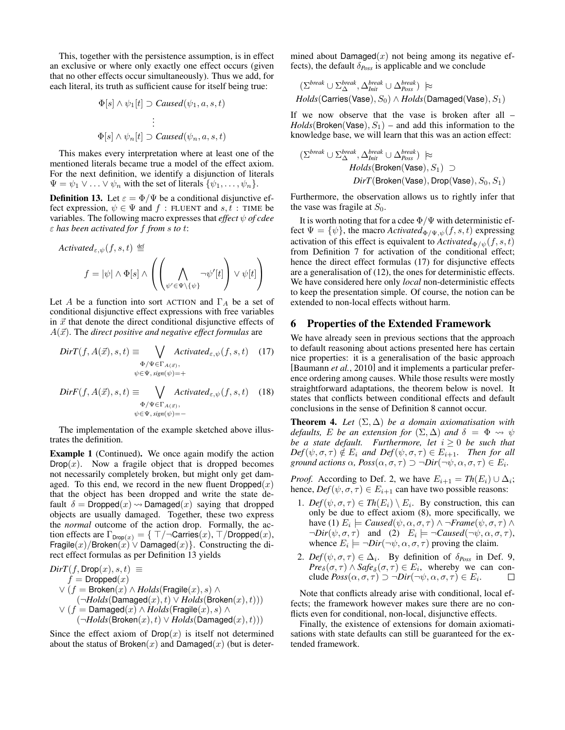This, together with the persistence assumption, is in effect an exclusive or where only exactly one effect occurs (given that no other effects occur simultaneously). Thus we add, for each literal, its truth as sufficient cause for itself being true:

$$
\Phi[s] \wedge \psi_1[t] \supset \text{Caused}(\psi_1, a, s, t)
$$

$$
\vdots
$$

$$
\Phi[s] \wedge \psi_n[t] \supset \text{Caused}(\psi_n, a, s, t)
$$

This makes every interpretation where at least one of the mentioned literals became true a model of the effect axiom. For the next definition, we identify a disjunction of literals  $\Psi = \psi_1 \vee \ldots \vee \psi_n$  with the set of literals  $\{\psi_1, \ldots, \psi_n\}.$ 

**Definition 13.** Let  $\varepsilon = \Phi/\Psi$  be a conditional disjunctive effect expression,  $\psi \in \Psi$  and  $f$ : FLUENT and  $s, t$ : TIME be variables. The following macro expresses that *effect* ψ *of cdee* ε *has been activated for* f *from* s *to* t:

$$
Activated_{\varepsilon,\psi}(f,s,t) \stackrel{\text{def}}{=} \left\{ f = |\psi| \wedge \Phi[s] \wedge \left( \left( \bigwedge_{\psi' \in \Psi \setminus \{\psi\}} \neg \psi'[t] \right) \vee \psi[t] \right) \right\}
$$

Let A be a function into sort ACTION and  $\Gamma_A$  be a set of conditional disjunctive effect expressions with free variables in  $\vec{x}$  that denote the direct conditional disjunctive effects of  $A(\vec{x})$ . The *direct positive and negative effect formulas* are

$$
DirT(f, A(\vec{x}), s, t) \equiv \bigvee_{\substack{\Phi/\Psi \in \Gamma_{A(\vec{x})}, \\ \psi \in \Psi, sign(\psi) = +}} \text{Active}(f, s, t) \quad (17)
$$
\n
$$
\text{DirF}(f, A(\vec{x}), s, t) \equiv \bigvee_{\substack{\Phi/\Psi \in \Gamma_{A(\vec{x})}, \\ \Phi/\Psi \in \Gamma_{A(\vec{x})},}} \text{Active}(f, s, t) \quad (18)
$$

The implementation of the example sketched above illustrates the definition.

 $\psi \in \Psi$ ,  $sign(\psi) = -$ 

Example 1 (Continued). We once again modify the action  $Drop(x)$ . Now a fragile object that is dropped becomes not necessarily completely broken, but might only get damaged. To this end, we record in the new fluent  $Dropped(x)$ that the object has been dropped and write the state default  $\delta = \text{Dropped}(x) \rightarrow \text{Damaged}(x)$  saying that dropped objects are usually damaged. Together, these two express the *normal* outcome of the action drop. Formally, the action effects are  $\Gamma_{\text{Drop}(x)} = \{ \top/\neg \text{Carries}(x), \top/\text{Dropped}(x), \}$ Fragile $(x)$ /Broken $(x)$   $\vee$  Damaged $(x)$ }. Constructing the direct effect formulas as per Definition 13 yields

$$
\begin{array}{l} \begin{array}{l} Dir T(f, \text{Drop}(x), s, t) \equiv \\ f = \text{Dropped}(x) \end{array} \\ \lor \left( f = \text{Broken}(x) \land \text{Holds}(\text{Fragile}(x), s) \land \\ \quad \ \ (\neg \text{Holds}(\text{Damaged}(x), t) \lor \text{Holds}(\text{Broken}(x), t)) ) \end{array} \\ \lor \left( f = \text{Damaged}(x) \land \text{Holds}(\text{Fragile}(x), s) \land \\ \quad \ \ (\neg \text{Holds}(\text{Broken}(x), t) \lor \text{Holds}(\text{Damaged}(x), t)) ) \end{array} \right. \end{array}
$$

Since the effect axiom of  $\textsf{Drop}(x)$  is itself not determined about the status of Broken $(x)$  and Damaged $(x)$  (but is determined about Damaged $(x)$  not being among its negative effects), the default  $\delta_{Poss}$  is applicable and we conclude

$$
(\Sigma^{break} \cup \Sigma^{break}_{\Delta}, \Delta^{break}_{Init} \cup \Delta^{break}_{Poss}) \approx
$$
  
*Holds*(Carries(Vase), S<sub>0</sub>)  $\land$  *Holds*(Damaged(Vase), S<sub>1</sub>)

If we now observe that the vase is broken after all –  $Holds(Broken(Vase), S<sub>1</sub>)$  – and add this information to the knowledge base, we will learn that this was an action effect:

$$
(\Sigma^{break} \cup \Sigma^{break}_{\Delta}, \Delta^{break}_{Init} \cup \Delta^{break}_{Poss}) \approx
$$
  
\n*Holds*(Broken(Vase), S<sub>1</sub>)  $\supset$   
\n*DirT*(Broken(Vase), Drop(Vase), S<sub>0</sub>, S<sub>1</sub>)

Furthermore, the observation allows us to rightly infer that the vase was fragile at  $S_0$ .

It is worth noting that for a cdee  $\Phi/\Psi$  with deterministic effect  $\Psi = {\psi}$ , the macro *Activated*<sub> $\Phi/\Psi, \psi(f, s, t)$  expressing</sub> activation of this effect is equivalent to  $\text{Activated}_{\Phi/\psi}(f, s, t)$ from Definition 7 for activation of the conditional effect; hence the direct effect formulas (17) for disjunctive effects are a generalisation of (12), the ones for deterministic effects. We have considered here only *local* non-deterministic effects to keep the presentation simple. Of course, the notion can be extended to non-local effects without harm.

#### 6 Properties of the Extended Framework

We have already seen in previous sections that the approach to default reasoning about actions presented here has certain nice properties: it is a generalisation of the basic approach [Baumann *et al.*, 2010] and it implements a particular preference ordering among causes. While those results were mostly straightforward adaptations, the theorem below is novel. It states that conflicts between conditional effects and default conclusions in the sense of Definition 8 cannot occur.

**Theorem 4.** *Let*  $(\Sigma, \Delta)$  *be a domain axiomatisation with defaults,* E *be an extension for*  $(\Sigma, \Delta)$  *and*  $\delta = \Phi \leadsto \psi$ *be a state default. Furthermore, let*  $i \geq 0$  *be such that*  $Def(\psi, \sigma, \tau) \notin E_i$  *and*  $Def(\psi, \sigma, \tau) \in E_{i+1}$ *. Then for all ground actions*  $\alpha$ ,  $Poss(\alpha, \sigma, \tau) \supset \neg Dir(\neg \psi, \alpha, \sigma, \tau) \in E_i$ .

*Proof.* According to Def. 2, we have  $E_{i+1} = Th(E_i) \cup \Delta_i$ ; hence,  $Def(\psi, \sigma, \tau) \in E_{i+1}$  can have two possible reasons:

- 1. *Def*  $(\psi, \sigma, \tau) \in Th(E_i) \setminus E_i$ . By construction, this can only be due to effect axiom (8), more specifically, we have (1)  $E_i \models \text{Caused}(\psi, \alpha, \sigma, \tau) \land \neg \text{Frame}(\psi, \sigma, \tau) \land$  $\neg Dir(\psi, \sigma, \tau)$  and (2)  $E_i \models \neg Caused(\neg \psi, \alpha, \sigma, \tau)$ , whence  $E_i \models \neg Dir(\neg \psi, \alpha, \sigma, \tau)$  proving the claim.
- 2.  $Def(\psi, \sigma, \tau) \in \Delta_i$ . By definition of  $\delta_{Poss}$  in Def. 9,  $Pre_{\delta}(\sigma, \tau) \wedge \textit{Safe}_{\delta}(\sigma, \tau) \in E_i$ , whereby we can conclude  $Poss(\alpha, \sigma, \tau) \supset \neg Dir(\neg \psi, \alpha, \sigma, \tau) \in E_i$ .  $\Box$

Note that conflicts already arise with conditional, local effects; the framework however makes sure there are no conflicts even for conditional, non-local, disjunctive effects.

Finally, the existence of extensions for domain axiomatisations with state defaults can still be guaranteed for the extended framework.